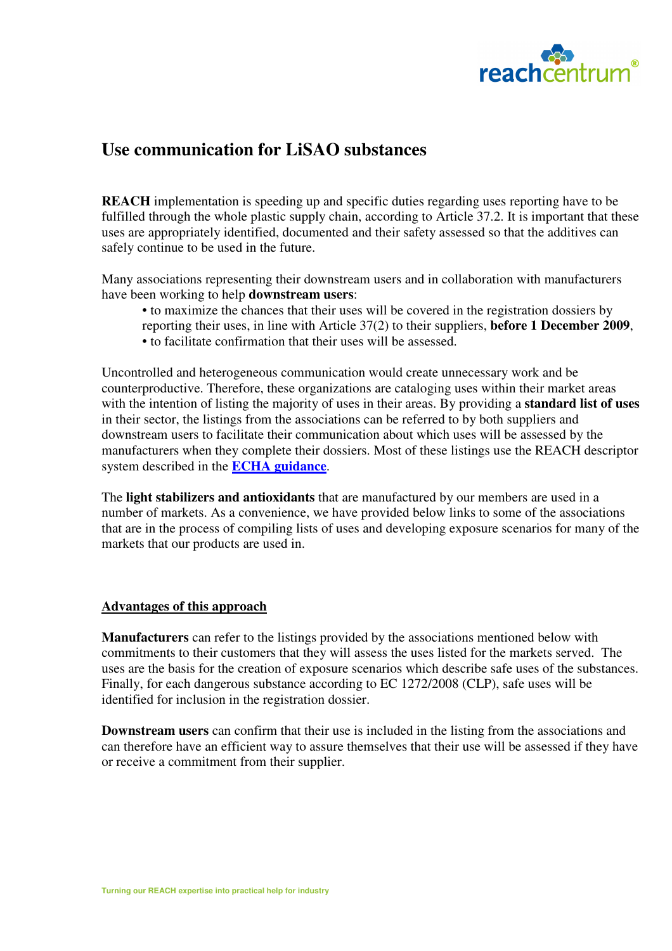

## **Use communication for LiSAO substances**

**REACH** implementation is speeding up and specific duties regarding uses reporting have to be fulfilled through the whole plastic supply chain, according to Article 37.2. It is important that these uses are appropriately identified, documented and their safety assessed so that the additives can safely continue to be used in the future.

Many associations representing their downstream users and in collaboration with manufacturers have been working to help **downstream users**:

• to maximize the chances that their uses will be covered in the registration dossiers by reporting their uses, in line with Article 37(2) to their suppliers, **before 1 December 2009**, • to facilitate confirmation that their uses will be assessed.

Uncontrolled and heterogeneous communication would create unnecessary work and be counterproductive. Therefore, these organizations are cataloging uses within their market areas with the intention of listing the majority of uses in their areas. By providing a **standard list of uses** in their sector, the listings from the associations can be referred to by both suppliers and downstream users to facilitate their communication about which uses will be assessed by the manufacturers when they complete their dossiers. Most of these listings use the REACH descriptor system described in the **ECHA guidance**.

The **light stabilizers and antioxidants** that are manufactured by our members are used in a number of markets. As a convenience, we have provided below links to some of the associations that are in the process of compiling lists of uses and developing exposure scenarios for many of the markets that our products are used in.

## **Advantages of this approach**

**Manufacturers** can refer to the listings provided by the associations mentioned below with commitments to their customers that they will assess the uses listed for the markets served. The uses are the basis for the creation of exposure scenarios which describe safe uses of the substances. Finally, for each dangerous substance according to EC 1272/2008 (CLP), safe uses will be identified for inclusion in the registration dossier.

**Downstream users** can confirm that their use is included in the listing from the associations and can therefore have an efficient way to assure themselves that their use will be assessed if they have or receive a commitment from their supplier.